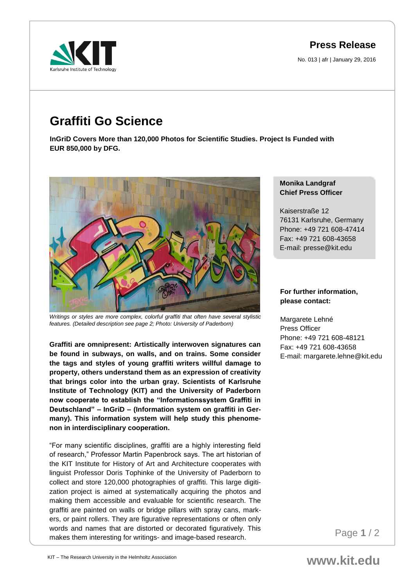**Press Release**

No. 013 | afr | January 29, 2016



# **Graffiti Go Science**

**InGriD Covers More than 120,000 Photos for Scientific Studies. Project Is Funded with EUR 850,000 by DFG.** 



*Writings or styles are more complex, colorful graffiti that often have several stylistic features. (Detailed description see page 2; Photo: University of Paderborn)*

**Graffiti are omnipresent: Artistically interwoven signatures can be found in subways, on walls, and on trains. Some consider the tags and styles of young graffiti writers willful damage to property, others understand them as an expression of creativity that brings color into the urban gray. Scientists of Karlsruhe Institute of Technology (KIT) and the University of Paderborn now cooperate to establish the "Informationssystem Graffiti in Deutschland" – InGriD – (Information system on graffiti in Germany). This information system will help study this phenomenon in interdisciplinary cooperation.**

"For many scientific disciplines, graffiti are a highly interesting field of research," Professor Martin Papenbrock says. The art historian of the KIT Institute for History of Art and Architecture cooperates with linguist Professor Doris Tophinke of the University of Paderborn to collect and store 120,000 photographies of graffiti. This large digitization project is aimed at systematically acquiring the photos and making them accessible and evaluable for scientific research. The graffiti are painted on walls or bridge pillars with spray cans, markers, or paint rollers. They are figurative representations or often only words and names that are distorted or decorated figuratively. This makes them interesting for writings- and image-based research.

## **Monika Landgraf Chief Press Officer**

Kaiserstraße 12 76131 Karlsruhe, Germany Phone: +49 721 608-47414 Fax: +49 721 608-43658 E-mail: presse@kit.edu

# **For further information, please contact:**

Margarete Lehné Press Officer Phone: +49 721 608-48121 Fax: +49 721 608-43658 E-mail: margarete.lehne@kit.edu

Page **1** / 2